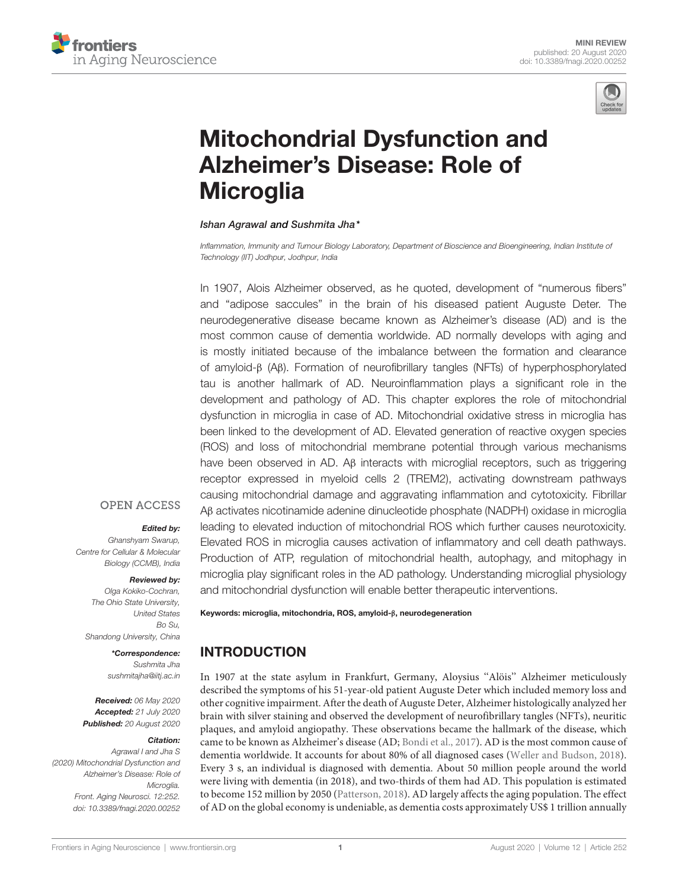



# Mitochondrial Dysfunction and Alzheimer's Disease: Role of **Microglia**

#### Ishan Agrawal and Sushmita Jha\*

*Inflammation, Immunity and Tumour Biology Laboratory, Department of Bioscience and Bioengineering, Indian Institute of Technology (IIT) Jodhpur, Jodhpur, India*

In 1907, Alois Alzheimer observed, as he quoted, development of "numerous fibers" and "adipose saccules" in the brain of his diseased patient Auguste Deter. The neurodegenerative disease became known as Alzheimer's disease (AD) and is the most common cause of dementia worldwide. AD normally develops with aging and is mostly initiated because of the imbalance between the formation and clearance of amyloid-β (Aβ). Formation of neurofibrillary tangles (NFTs) of hyperphosphorylated tau is another hallmark of AD. Neuroinflammation plays a significant role in the development and pathology of AD. This chapter explores the role of mitochondrial dysfunction in microglia in case of AD. Mitochondrial oxidative stress in microglia has been linked to the development of AD. Elevated generation of reactive oxygen species (ROS) and loss of mitochondrial membrane potential through various mechanisms have been observed in AD. Aβ interacts with microglial receptors, such as triggering receptor expressed in myeloid cells 2 (TREM2), activating downstream pathways causing mitochondrial damage and aggravating inflammation and cytotoxicity. Fibrillar Aβ activates nicotinamide adenine dinucleotide phosphate (NADPH) oxidase in microglia leading to elevated induction of mitochondrial ROS which further causes neurotoxicity. Elevated ROS in microglia causes activation of inflammatory and cell death pathways. Production of ATP, regulation of mitochondrial health, autophagy, and mitophagy in microglia play significant roles in the AD pathology. Understanding microglial physiology and mitochondrial dysfunction will enable better therapeutic interventions.

#### **OPEN ACCESS**

#### Edited by:

*Ghanshyam Swarup, Centre for Cellular & Molecular Biology (CCMB), India*

#### Reviewed by:

*Olga Kokiko-Cochran, The Ohio State University, United States Bo Su, Shandong University, China*

\*Correspondence:

*Sushmita Jha sushmitajha@iitj.ac.in*

Received: *06 May 2020* Accepted: *21 July 2020* Published: *20 August 2020*

#### Citation:

*Agrawal I and Jha S (2020) Mitochondrial Dysfunction and Alzheimer's Disease: Role of Microglia. Front. Aging Neurosci. 12:252. doi: 10.3389/fnagi.2020.00252*

# **INTRODUCTION**

In 1907 at the state asylum in Frankfurt, Germany, Aloysius ''Alöis'' Alzheimer meticulously described the symptoms of his 51-year-old patient Auguste Deter which included memory loss and other cognitive impairment. After the death of Auguste Deter, Alzheimer histologically analyzed her brain with silver staining and observed the development of neurofibrillary tangles (NFTs), neuritic plaques, and amyloid angiopathy. These observations became the hallmark of the disease, which came to be known as Alzheimer's disease (AD; Bondi et al., 2017). AD is the most common cause of dementia worldwide. It accounts for about 80% of all diagnosed cases (Weller and Budson, 2018). Every 3 s, an individual is diagnosed with dementia. About 50 million people around the world were living with dementia (in 2018), and two-thirds of them had AD. This population is estimated to become 152 million by 2050 (Patterson, 2018). AD largely affects the aging population. The effect of AD on the global economy is undeniable, as dementia costs approximately US\$ 1 trillion annually

Keywords: microglia, mitochondria, ROS, amyloid-β, neurodegeneration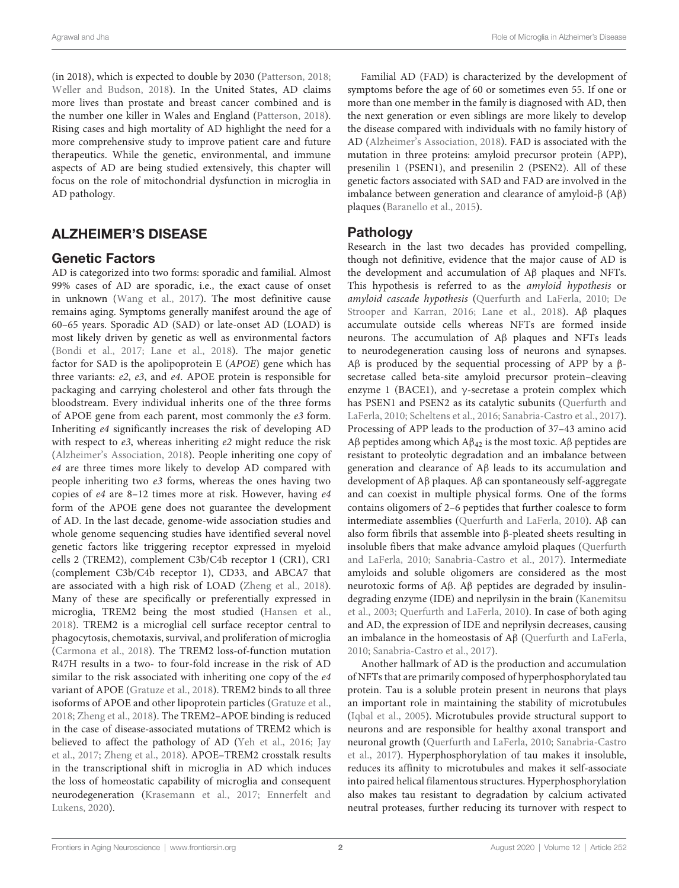(in 2018), which is expected to double by 2030 (Patterson, 2018; Weller and Budson, 2018). In the United States, AD claims more lives than prostate and breast cancer combined and is the number one killer in Wales and England (Patterson, 2018). Rising cases and high mortality of AD highlight the need for a more comprehensive study to improve patient care and future therapeutics. While the genetic, environmental, and immune aspects of AD are being studied extensively, this chapter will focus on the role of mitochondrial dysfunction in microglia in AD pathology.

## ALZHEIMER'S DISEASE

### Genetic Factors

AD is categorized into two forms: sporadic and familial. Almost 99% cases of AD are sporadic, i.e., the exact cause of onset in unknown (Wang et al., 2017). The most definitive cause remains aging. Symptoms generally manifest around the age of 60–65 years. Sporadic AD (SAD) or late-onset AD (LOAD) is most likely driven by genetic as well as environmental factors (Bondi et al., 2017; Lane et al., 2018). The major genetic factor for SAD is the apolipoprotein E (APOE) gene which has three variants: e2, e3, and e4. APOE protein is responsible for packaging and carrying cholesterol and other fats through the bloodstream. Every individual inherits one of the three forms of APOE gene from each parent, most commonly the e3 form. Inheriting e4 significantly increases the risk of developing AD with respect to  $e3$ , whereas inheriting  $e2$  might reduce the risk (Alzheimer's Association, 2018). People inheriting one copy of e4 are three times more likely to develop AD compared with people inheriting two e3 forms, whereas the ones having two copies of e4 are 8–12 times more at risk. However, having e4 form of the APOE gene does not guarantee the development of AD. In the last decade, genome-wide association studies and whole genome sequencing studies have identified several novel genetic factors like triggering receptor expressed in myeloid cells 2 (TREM2), complement C3b/C4b receptor 1 (CR1), CR1 (complement C3b/C4b receptor 1), CD33, and ABCA7 that are associated with a high risk of LOAD (Zheng et al., 2018). Many of these are specifically or preferentially expressed in microglia, TREM2 being the most studied (Hansen et al., 2018). TREM2 is a microglial cell surface receptor central to phagocytosis, chemotaxis, survival, and proliferation of microglia (Carmona et al., 2018). The TREM2 loss-of-function mutation R47H results in a two- to four-fold increase in the risk of AD similar to the risk associated with inheriting one copy of the e4 variant of APOE (Gratuze et al., 2018). TREM2 binds to all three isoforms of APOE and other lipoprotein particles (Gratuze et al., 2018; Zheng et al., 2018). The TREM2–APOE binding is reduced in the case of disease-associated mutations of TREM2 which is believed to affect the pathology of AD (Yeh et al., 2016; Jay et al., 2017; Zheng et al., 2018). APOE–TREM2 crosstalk results in the transcriptional shift in microglia in AD which induces the loss of homeostatic capability of microglia and consequent neurodegeneration (Krasemann et al., 2017; Ennerfelt and Lukens, 2020).

Familial AD (FAD) is characterized by the development of symptoms before the age of 60 or sometimes even 55. If one or more than one member in the family is diagnosed with AD, then the next generation or even siblings are more likely to develop the disease compared with individuals with no family history of AD (Alzheimer's Association, 2018). FAD is associated with the mutation in three proteins: amyloid precursor protein (APP), presenilin 1 (PSEN1), and presenilin 2 (PSEN2). All of these genetic factors associated with SAD and FAD are involved in the imbalance between generation and clearance of amyloid-β (Aβ) plaques (Baranello et al., 2015).

## Pathology

Research in the last two decades has provided compelling, though not definitive, evidence that the major cause of AD is the development and accumulation of Aβ plaques and NFTs. This hypothesis is referred to as the amyloid hypothesis or amyloid cascade hypothesis (Querfurth and LaFerla, 2010; De Strooper and Karran, 2016; Lane et al., 2018). Aβ plaques accumulate outside cells whereas NFTs are formed inside neurons. The accumulation of Aβ plaques and NFTs leads to neurodegeneration causing loss of neurons and synapses. Aβ is produced by the sequential processing of APP by a  $β$ secretase called beta-site amyloid precursor protein–cleaving enzyme 1 (BACE1), and  $\gamma$ -secretase a protein complex which has PSEN1 and PSEN2 as its catalytic subunits (Querfurth and LaFerla, 2010; Scheltens et al., 2016; Sanabria-Castro et al., 2017). Processing of APP leads to the production of 37–43 amino acid Aβ peptides among which  $A\beta_{42}$  is the most toxic. Aβ peptides are resistant to proteolytic degradation and an imbalance between generation and clearance of Aβ leads to its accumulation and development of Aβ plaques. Aβ can spontaneously self-aggregate and can coexist in multiple physical forms. One of the forms contains oligomers of 2–6 peptides that further coalesce to form intermediate assemblies (Querfurth and LaFerla, 2010). Aβ can also form fibrils that assemble into β-pleated sheets resulting in insoluble fibers that make advance amyloid plaques (Querfurth and LaFerla, 2010; Sanabria-Castro et al., 2017). Intermediate amyloids and soluble oligomers are considered as the most neurotoxic forms of Aβ. Aβ peptides are degraded by insulindegrading enzyme (IDE) and neprilysin in the brain (Kanemitsu et al., 2003; Querfurth and LaFerla, 2010). In case of both aging and AD, the expression of IDE and neprilysin decreases, causing an imbalance in the homeostasis of Aβ (Querfurth and LaFerla, 2010; Sanabria-Castro et al., 2017).

Another hallmark of AD is the production and accumulation of NFTs that are primarily composed of hyperphosphorylated tau protein. Tau is a soluble protein present in neurons that plays an important role in maintaining the stability of microtubules (Iqbal et al., 2005). Microtubules provide structural support to neurons and are responsible for healthy axonal transport and neuronal growth (Querfurth and LaFerla, 2010; Sanabria-Castro et al., 2017). Hyperphosphorylation of tau makes it insoluble, reduces its affinity to microtubules and makes it self-associate into paired helical filamentous structures. Hyperphosphorylation also makes tau resistant to degradation by calcium activated neutral proteases, further reducing its turnover with respect to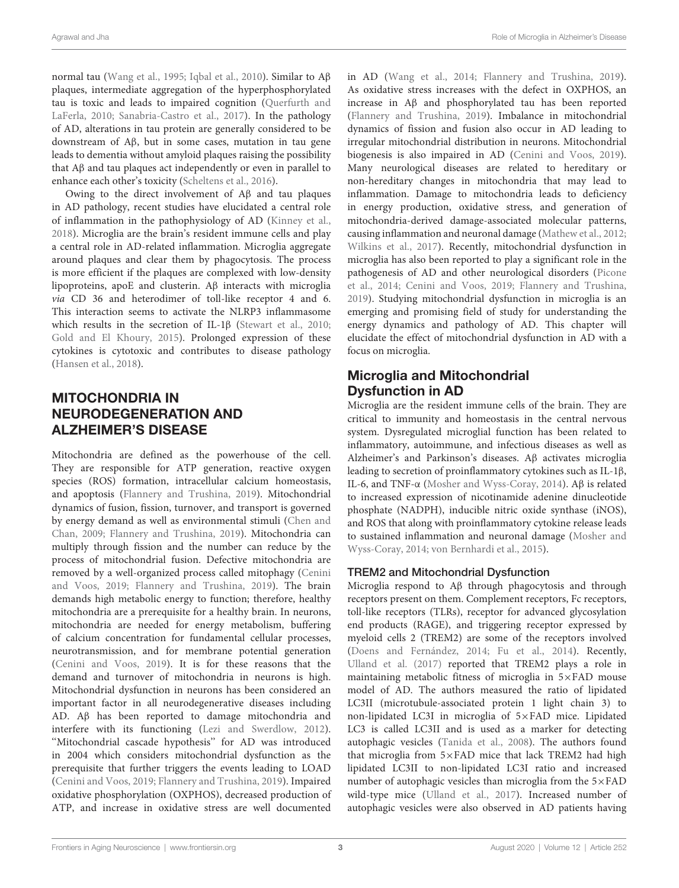normal tau (Wang et al., 1995; Iqbal et al., 2010). Similar to Aβ plaques, intermediate aggregation of the hyperphosphorylated tau is toxic and leads to impaired cognition (Querfurth and LaFerla, 2010; Sanabria-Castro et al., 2017). In the pathology of AD, alterations in tau protein are generally considered to be downstream of Aβ, but in some cases, mutation in tau gene leads to dementia without amyloid plaques raising the possibility that Aβ and tau plaques act independently or even in parallel to enhance each other's toxicity (Scheltens et al., 2016).

Owing to the direct involvement of Aβ and tau plaques in AD pathology, recent studies have elucidated a central role of inflammation in the pathophysiology of AD (Kinney et al., 2018). Microglia are the brain's resident immune cells and play a central role in AD-related inflammation. Microglia aggregate around plaques and clear them by phagocytosis. The process is more efficient if the plaques are complexed with low-density lipoproteins, apoE and clusterin. Aβ interacts with microglia via CD 36 and heterodimer of toll-like receptor 4 and 6. This interaction seems to activate the NLRP3 inflammasome which results in the secretion of IL-1β (Stewart et al., 2010; Gold and El Khoury, 2015). Prolonged expression of these cytokines is cytotoxic and contributes to disease pathology (Hansen et al., 2018).

# MITOCHONDRIA IN NEURODEGENERATION AND ALZHEIMER'S DISEASE

Mitochondria are defined as the powerhouse of the cell. They are responsible for ATP generation, reactive oxygen species (ROS) formation, intracellular calcium homeostasis, and apoptosis (Flannery and Trushina, 2019). Mitochondrial dynamics of fusion, fission, turnover, and transport is governed by energy demand as well as environmental stimuli (Chen and Chan, 2009; Flannery and Trushina, 2019). Mitochondria can multiply through fission and the number can reduce by the process of mitochondrial fusion. Defective mitochondria are removed by a well-organized process called mitophagy (Cenini and Voos, 2019; Flannery and Trushina, 2019). The brain demands high metabolic energy to function; therefore, healthy mitochondria are a prerequisite for a healthy brain. In neurons, mitochondria are needed for energy metabolism, buffering of calcium concentration for fundamental cellular processes, neurotransmission, and for membrane potential generation (Cenini and Voos, 2019). It is for these reasons that the demand and turnover of mitochondria in neurons is high. Mitochondrial dysfunction in neurons has been considered an important factor in all neurodegenerative diseases including AD. Aβ has been reported to damage mitochondria and interfere with its functioning (Lezi and Swerdlow, 2012). ''Mitochondrial cascade hypothesis'' for AD was introduced in 2004 which considers mitochondrial dysfunction as the prerequisite that further triggers the events leading to LOAD (Cenini and Voos, 2019; Flannery and Trushina, 2019). Impaired oxidative phosphorylation (OXPHOS), decreased production of ATP, and increase in oxidative stress are well documented in AD (Wang et al., 2014; Flannery and Trushina, 2019). As oxidative stress increases with the defect in OXPHOS, an increase in Aβ and phosphorylated tau has been reported (Flannery and Trushina, 2019). Imbalance in mitochondrial dynamics of fission and fusion also occur in AD leading to irregular mitochondrial distribution in neurons. Mitochondrial biogenesis is also impaired in AD (Cenini and Voos, 2019). Many neurological diseases are related to hereditary or non-hereditary changes in mitochondria that may lead to inflammation. Damage to mitochondria leads to deficiency in energy production, oxidative stress, and generation of mitochondria-derived damage-associated molecular patterns, causing inflammation and neuronal damage (Mathew et al., 2012; Wilkins et al., 2017). Recently, mitochondrial dysfunction in microglia has also been reported to play a significant role in the pathogenesis of AD and other neurological disorders (Picone et al., 2014; Cenini and Voos, 2019; Flannery and Trushina, 2019). Studying mitochondrial dysfunction in microglia is an emerging and promising field of study for understanding the energy dynamics and pathology of AD. This chapter will elucidate the effect of mitochondrial dysfunction in AD with a focus on microglia.

# Microglia and Mitochondrial Dysfunction in AD

Microglia are the resident immune cells of the brain. They are critical to immunity and homeostasis in the central nervous system. Dysregulated microglial function has been related to inflammatory, autoimmune, and infectious diseases as well as Alzheimer's and Parkinson's diseases. Aβ activates microglia leading to secretion of proinflammatory cytokines such as IL-1β, IL-6, and TNF-α (Mosher and Wyss-Coray, 2014). Aβ is related to increased expression of nicotinamide adenine dinucleotide phosphate (NADPH), inducible nitric oxide synthase (iNOS), and ROS that along with proinflammatory cytokine release leads to sustained inflammation and neuronal damage (Mosher and Wyss-Coray, 2014; von Bernhardi et al., 2015).

### TREM2 and Mitochondrial Dysfunction

Microglia respond to Aβ through phagocytosis and through receptors present on them. Complement receptors, Fc receptors, toll-like receptors (TLRs), receptor for advanced glycosylation end products (RAGE), and triggering receptor expressed by myeloid cells 2 (TREM2) are some of the receptors involved (Doens and Fernández, 2014; Fu et al., 2014). Recently, Ulland et al. (2017) reported that TREM2 plays a role in maintaining metabolic fitness of microglia in 5×FAD mouse model of AD. The authors measured the ratio of lipidated LC3II (microtubule-associated protein 1 light chain 3) to non-lipidated LC3I in microglia of 5×FAD mice. Lipidated LC3 is called LC3II and is used as a marker for detecting autophagic vesicles (Tanida et al., 2008). The authors found that microglia from 5×FAD mice that lack TREM2 had high lipidated LC3II to non-lipidated LC3I ratio and increased number of autophagic vesicles than microglia from the 5×FAD wild-type mice (Ulland et al., 2017). Increased number of autophagic vesicles were also observed in AD patients having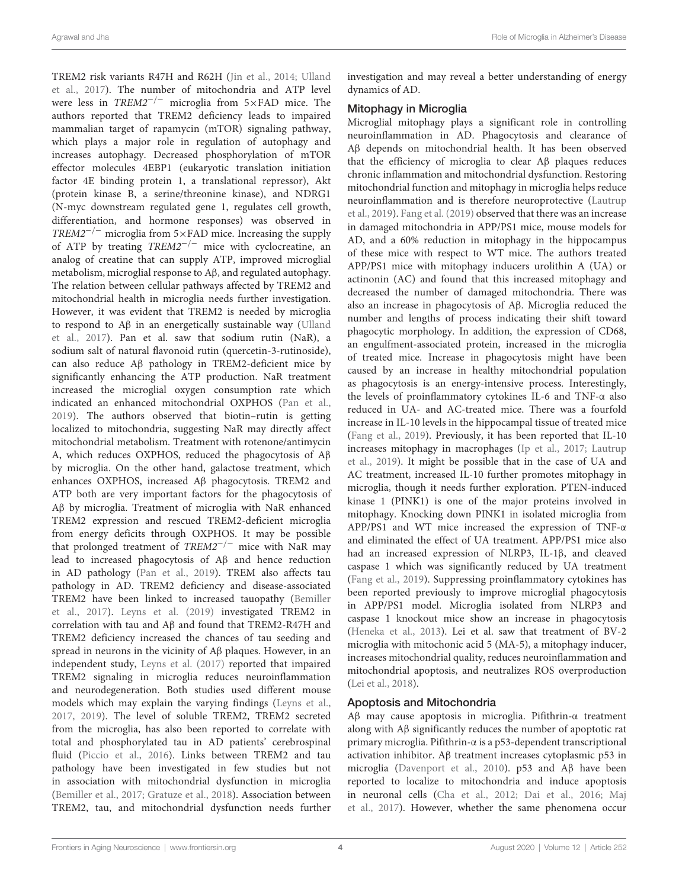TREM2 risk variants R47H and R62H (Jin et al., 2014; Ulland et al., 2017). The number of mitochondria and ATP level were less in TREM2−/<sup>−</sup> microglia from 5×FAD mice. The authors reported that TREM2 deficiency leads to impaired mammalian target of rapamycin (mTOR) signaling pathway, which plays a major role in regulation of autophagy and increases autophagy. Decreased phosphorylation of mTOR effector molecules 4EBP1 (eukaryotic translation initiation factor 4E binding protein 1, a translational repressor), Akt (protein kinase B, a serine/threonine kinase), and NDRG1 (N-myc downstream regulated gene 1, regulates cell growth, differentiation, and hormone responses) was observed in TREM2<sup>-/-</sup> microglia from  $5\times$ FAD mice. Increasing the supply of ATP by treating TREM2−/<sup>−</sup> mice with cyclocreatine, an analog of creatine that can supply ATP, improved microglial metabolism, microglial response to Aβ, and regulated autophagy. The relation between cellular pathways affected by TREM2 and mitochondrial health in microglia needs further investigation. However, it was evident that TREM2 is needed by microglia to respond to Aβ in an energetically sustainable way (Ulland et al., 2017). Pan et al. saw that sodium rutin (NaR), a sodium salt of natural flavonoid rutin (quercetin-3-rutinoside), can also reduce Aβ pathology in TREM2-deficient mice by significantly enhancing the ATP production. NaR treatment increased the microglial oxygen consumption rate which indicated an enhanced mitochondrial OXPHOS (Pan et al., 2019). The authors observed that biotin–rutin is getting localized to mitochondria, suggesting NaR may directly affect mitochondrial metabolism. Treatment with rotenone/antimycin A, which reduces OXPHOS, reduced the phagocytosis of Aβ by microglia. On the other hand, galactose treatment, which enhances OXPHOS, increased Aβ phagocytosis. TREM2 and ATP both are very important factors for the phagocytosis of Aβ by microglia. Treatment of microglia with NaR enhanced TREM2 expression and rescued TREM2-deficient microglia from energy deficits through OXPHOS. It may be possible that prolonged treatment of  $TREM2^{-/-}$  mice with NaR may lead to increased phagocytosis of Aβ and hence reduction in AD pathology (Pan et al., 2019). TREM also affects tau pathology in AD. TREM2 deficiency and disease-associated TREM2 have been linked to increased tauopathy (Bemiller et al., 2017). Leyns et al. (2019) investigated TREM2 in correlation with tau and Aβ and found that TREM2-R47H and TREM2 deficiency increased the chances of tau seeding and spread in neurons in the vicinity of Aβ plaques. However, in an independent study, Leyns et al. (2017) reported that impaired TREM2 signaling in microglia reduces neuroinflammation and neurodegeneration. Both studies used different mouse models which may explain the varying findings (Leyns et al., 2017, 2019). The level of soluble TREM2, TREM2 secreted from the microglia, has also been reported to correlate with total and phosphorylated tau in AD patients' cerebrospinal fluid (Piccio et al., 2016). Links between TREM2 and tau pathology have been investigated in few studies but not in association with mitochondrial dysfunction in microglia (Bemiller et al., 2017; Gratuze et al., 2018). Association between TREM2, tau, and mitochondrial dysfunction needs further

investigation and may reveal a better understanding of energy dynamics of AD.

#### Mitophagy in Microglia

Microglial mitophagy plays a significant role in controlling neuroinflammation in AD. Phagocytosis and clearance of Aβ depends on mitochondrial health. It has been observed that the efficiency of microglia to clear Aβ plaques reduces chronic inflammation and mitochondrial dysfunction. Restoring mitochondrial function and mitophagy in microglia helps reduce neuroinflammation and is therefore neuroprotective (Lautrup et al., 2019). Fang et al. (2019) observed that there was an increase in damaged mitochondria in APP/PS1 mice, mouse models for AD, and a 60% reduction in mitophagy in the hippocampus of these mice with respect to WT mice. The authors treated APP/PS1 mice with mitophagy inducers urolithin A (UA) or actinonin (AC) and found that this increased mitophagy and decreased the number of damaged mitochondria. There was also an increase in phagocytosis of Aβ. Microglia reduced the number and lengths of process indicating their shift toward phagocytic morphology. In addition, the expression of CD68, an engulfment-associated protein, increased in the microglia of treated mice. Increase in phagocytosis might have been caused by an increase in healthy mitochondrial population as phagocytosis is an energy-intensive process. Interestingly, the levels of proinflammatory cytokines IL-6 and TNF-α also reduced in UA- and AC-treated mice. There was a fourfold increase in IL-10 levels in the hippocampal tissue of treated mice (Fang et al., 2019). Previously, it has been reported that IL-10 increases mitophagy in macrophages (Ip et al., 2017; Lautrup et al., 2019). It might be possible that in the case of UA and AC treatment, increased IL-10 further promotes mitophagy in microglia, though it needs further exploration. PTEN-induced kinase 1 (PINK1) is one of the major proteins involved in mitophagy. Knocking down PINK1 in isolated microglia from APP/PS1 and WT mice increased the expression of TNF-α and eliminated the effect of UA treatment. APP/PS1 mice also had an increased expression of NLRP3, IL-1β, and cleaved caspase 1 which was significantly reduced by UA treatment (Fang et al., 2019). Suppressing proinflammatory cytokines has been reported previously to improve microglial phagocytosis in APP/PS1 model. Microglia isolated from NLRP3 and caspase 1 knockout mice show an increase in phagocytosis (Heneka et al., 2013). Lei et al. saw that treatment of BV-2 microglia with mitochonic acid 5 (MA-5), a mitophagy inducer, increases mitochondrial quality, reduces neuroinflammation and mitochondrial apoptosis, and neutralizes ROS overproduction (Lei et al., 2018).

#### Apoptosis and Mitochondria

Aβ may cause apoptosis in microglia. Pifithrin-α treatment along with Aβ significantly reduces the number of apoptotic rat primary microglia. Pifithrin-α is a p53-dependent transcriptional activation inhibitor. Aβ treatment increases cytoplasmic p53 in microglia (Davenport et al., 2010). p53 and Aβ have been reported to localize to mitochondria and induce apoptosis in neuronal cells (Cha et al., 2012; Dai et al., 2016; Maj et al., 2017). However, whether the same phenomena occur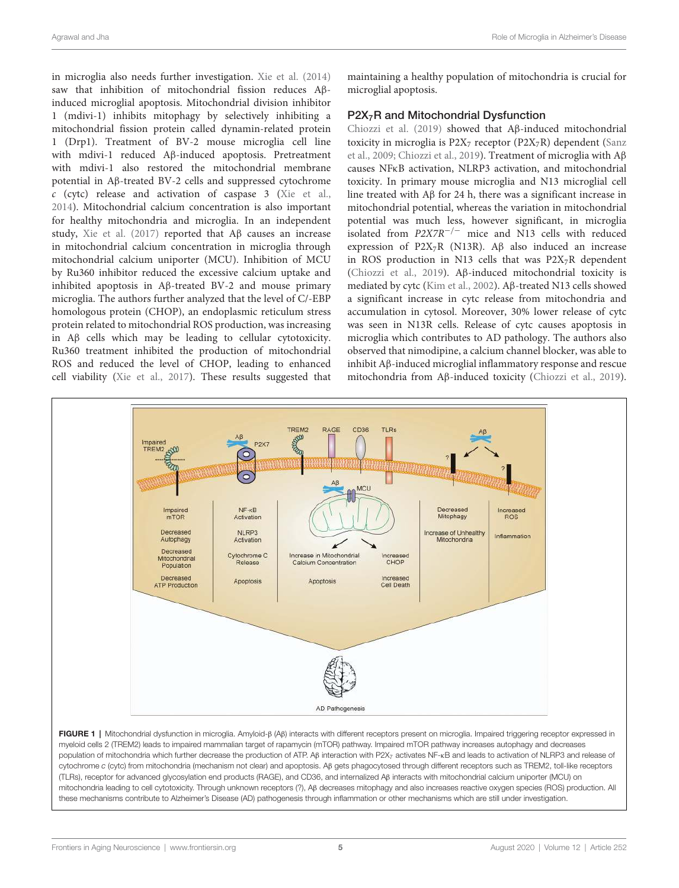in microglia also needs further investigation. Xie et al. (2014) saw that inhibition of mitochondrial fission reduces Aβinduced microglial apoptosis. Mitochondrial division inhibitor 1 (mdivi-1) inhibits mitophagy by selectively inhibiting a mitochondrial fission protein called dynamin-related protein 1 (Drp1). Treatment of BV-2 mouse microglia cell line with mdivi-1 reduced Aβ-induced apoptosis. Pretreatment with mdivi-1 also restored the mitochondrial membrane potential in Aβ-treated BV-2 cells and suppressed cytochrome c (cytc) release and activation of caspase 3 (Xie et al., 2014). Mitochondrial calcium concentration is also important for healthy mitochondria and microglia. In an independent study, Xie et al. (2017) reported that Aβ causes an increase in mitochondrial calcium concentration in microglia through mitochondrial calcium uniporter (MCU). Inhibition of MCU by Ru360 inhibitor reduced the excessive calcium uptake and inhibited apoptosis in Aβ-treated BV-2 and mouse primary microglia. The authors further analyzed that the level of C/-EBP homologous protein (CHOP), an endoplasmic reticulum stress protein related to mitochondrial ROS production, was increasing in Aβ cells which may be leading to cellular cytotoxicity. Ru360 treatment inhibited the production of mitochondrial ROS and reduced the level of CHOP, leading to enhanced cell viability (Xie et al., 2017). These results suggested that

maintaining a healthy population of mitochondria is crucial for microglial apoptosis.

#### P2X<sub>7</sub>R and Mitochondrial Dysfunction

Chiozzi et al. (2019) showed that Aβ-induced mitochondrial toxicity in microglia is  $P2X_7$  receptor ( $P2X_7R$ ) dependent (Sanz et al., 2009; Chiozzi et al., 2019). Treatment of microglia with Aβ causes NFκB activation, NLRP3 activation, and mitochondrial toxicity. In primary mouse microglia and N13 microglial cell line treated with Aβ for 24 h, there was a significant increase in mitochondrial potential, whereas the variation in mitochondrial potential was much less, however significant, in microglia isolated from P2X7R−/<sup>−</sup> mice and N13 cells with reduced expression of P2X<sub>7</sub>R (N13R). A $\beta$  also induced an increase in ROS production in N13 cells that was  $P2X_7R$  dependent (Chiozzi et al., 2019). Aβ-induced mitochondrial toxicity is mediated by cytc (Kim et al., 2002). Aβ-treated N13 cells showed a significant increase in cytc release from mitochondria and accumulation in cytosol. Moreover, 30% lower release of cytc was seen in N13R cells. Release of cytc causes apoptosis in microglia which contributes to AD pathology. The authors also observed that nimodipine, a calcium channel blocker, was able to inhibit Aβ-induced microglial inflammatory response and rescue mitochondria from Aβ-induced toxicity (Chiozzi et al., 2019).



FIGURE 1 | Mitochondrial dysfunction in microglia. Amyloid-β (Aβ) interacts with different receptors present on microglia. Impaired triggering receptor expressed in myeloid cells 2 (TREM2) leads to impaired mammalian target of rapamycin (mTOR) pathway. Impaired mTOR pathway increases autophagy and decreases population of mitochondria which further decrease the production of ATP. Aβ interaction with P2X<sub>7</sub> activates NF-κB and leads to activation of NLRP3 and release of cytochrome *c* (cytc) from mitochondria (mechanism not clear) and apoptosis. Aβ gets phagocytosed through different receptors such as TREM2, toll-like receptors (TLRs), receptor for advanced glycosylation end products (RAGE), and CD36, and internalized Aβ interacts with mitochondrial calcium uniporter (MCU) on mitochondria leading to cell cytotoxicity. Through unknown receptors (?), Aβ decreases mitophagy and also increases reactive oxygen species (ROS) production. All these mechanisms contribute to Alzheimer's Disease (AD) pathogenesis through inflammation or other mechanisms which are still under investigation.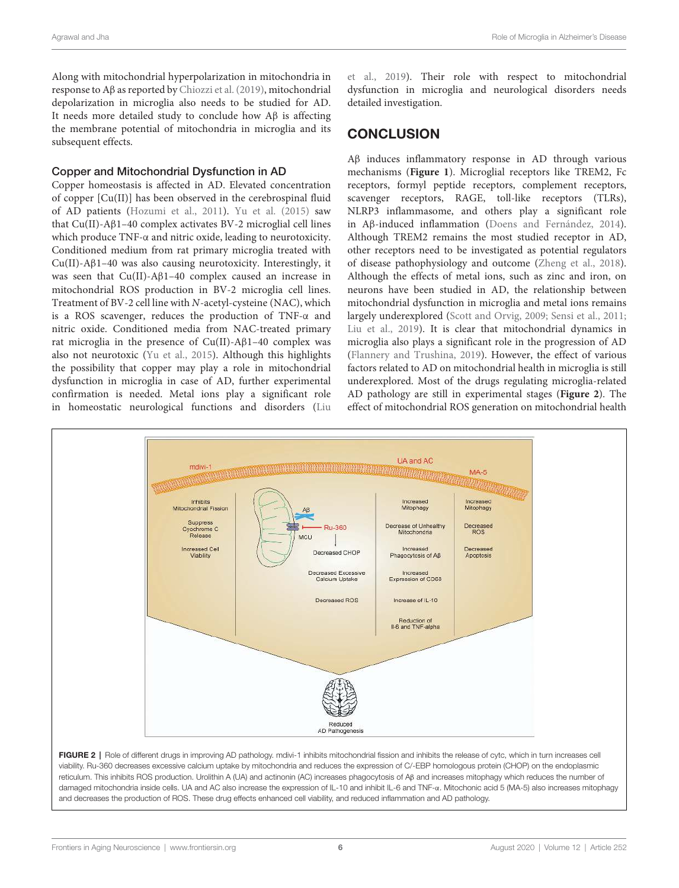Along with mitochondrial hyperpolarization in mitochondria in response to Aβ as reported by Chiozzi et al. (2019), mitochondrial depolarization in microglia also needs to be studied for AD. It needs more detailed study to conclude how Aβ is affecting the membrane potential of mitochondria in microglia and its subsequent effects.

#### Copper and Mitochondrial Dysfunction in AD

Copper homeostasis is affected in AD. Elevated concentration of copper [Cu(II)] has been observed in the cerebrospinal fluid of AD patients (Hozumi et al., 2011). Yu et al. (2015) saw that Cu(II)-Aβ1–40 complex activates BV-2 microglial cell lines which produce TNF-α and nitric oxide, leading to neurotoxicity. Conditioned medium from rat primary microglia treated with Cu(II)-Aβ1–40 was also causing neurotoxicity. Interestingly, it was seen that Cu(II)-Aβ1–40 complex caused an increase in mitochondrial ROS production in BV-2 microglia cell lines. Treatment of BV-2 cell line with N-acetyl-cysteine (NAC), which is a ROS scavenger, reduces the production of TNF-α and nitric oxide. Conditioned media from NAC-treated primary rat microglia in the presence of Cu(II)-Aβ1–40 complex was also not neurotoxic (Yu et al., 2015). Although this highlights the possibility that copper may play a role in mitochondrial dysfunction in microglia in case of AD, further experimental confirmation is needed. Metal ions play a significant role in homeostatic neurological functions and disorders (Liu et al., 2019). Their role with respect to mitochondrial dysfunction in microglia and neurological disorders needs detailed investigation.

#### **CONCLUSION**

Aβ induces inflammatory response in AD through various mechanisms (**Figure 1**). Microglial receptors like TREM2, Fc receptors, formyl peptide receptors, complement receptors, scavenger receptors, RAGE, toll-like receptors (TLRs), NLRP3 inflammasome, and others play a significant role in Aβ-induced inflammation (Doens and Fernández, 2014). Although TREM2 remains the most studied receptor in AD, other receptors need to be investigated as potential regulators of disease pathophysiology and outcome (Zheng et al., 2018). Although the effects of metal ions, such as zinc and iron, on neurons have been studied in AD, the relationship between mitochondrial dysfunction in microglia and metal ions remains largely underexplored (Scott and Orvig, 2009; Sensi et al., 2011; Liu et al., 2019). It is clear that mitochondrial dynamics in microglia also plays a significant role in the progression of AD (Flannery and Trushina, 2019). However, the effect of various factors related to AD on mitochondrial health in microglia is still underexplored. Most of the drugs regulating microglia-related AD pathology are still in experimental stages (**Figure 2**). The effect of mitochondrial ROS generation on mitochondrial health



FIGURE 2 | Role of different drugs in improving AD pathology. mdivi-1 inhibits mitochondrial fission and inhibits the release of cytc, which in turn increases cell viability. Ru-360 decreases excessive calcium uptake by mitochondria and reduces the expression of C/-EBP homologous protein (CHOP) on the endoplasmic reticulum. This inhibits ROS production. Urolithin A (UA) and actinonin (AC) increases phagocytosis of Aβ and increases mitophagy which reduces the number of damaged mitochondria inside cells. UA and AC also increase the expression of IL-10 and inhibit IL-6 and TNF-α. Mitochonic acid 5 (MA-5) also increases mitophagy and decreases the production of ROS. These drug effects enhanced cell viability, and reduced inflammation and AD pathology.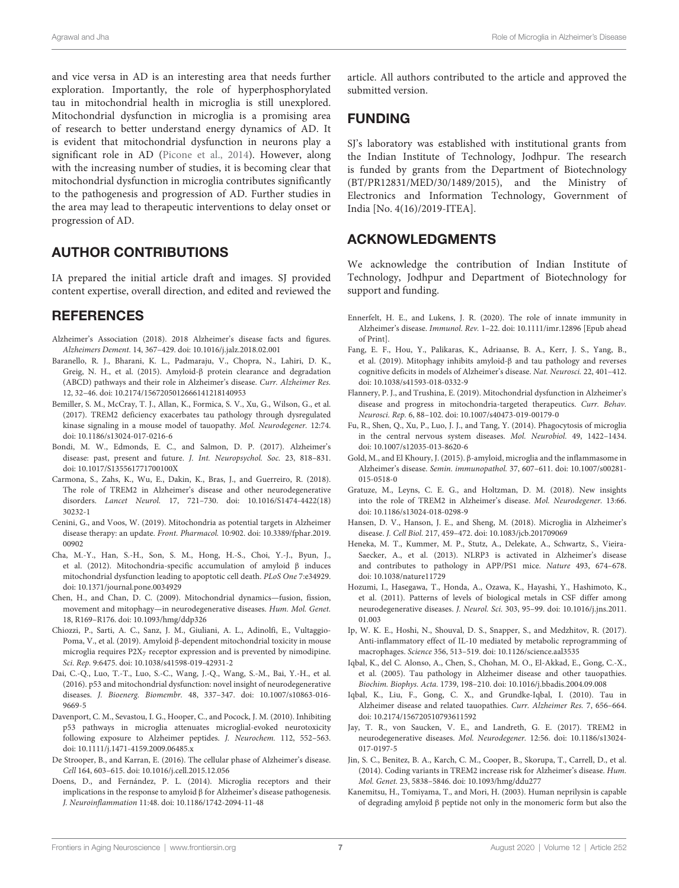and vice versa in AD is an interesting area that needs further exploration. Importantly, the role of hyperphosphorylated tau in mitochondrial health in microglia is still unexplored. Mitochondrial dysfunction in microglia is a promising area of research to better understand energy dynamics of AD. It is evident that mitochondrial dysfunction in neurons play a significant role in AD (Picone et al., 2014). However, along with the increasing number of studies, it is becoming clear that mitochondrial dysfunction in microglia contributes significantly to the pathogenesis and progression of AD. Further studies in the area may lead to therapeutic interventions to delay onset or progression of AD.

## AUTHOR CONTRIBUTIONS

IA prepared the initial article draft and images. SJ provided content expertise, overall direction, and edited and reviewed the

## **REFERENCES**

- Alzheimer's Association (2018). 2018 Alzheimer's disease facts and figures. Alzheimers Dement. 14, 367–429. doi: 10.1016/j.jalz.2018.02.001
- Baranello, R. J., Bharani, K. L., Padmaraju, V., Chopra, N., Lahiri, D. K., Greig, N. H., et al. (2015). Amyloid-β protein clearance and degradation (ABCD) pathways and their role in Alzheimer's disease. Curr. Alzheimer Res. 12, 32–46. doi: 10.2174/1567205012666141218140953
- Bemiller, S. M., McCray, T. J., Allan, K., Formica, S. V., Xu, G., Wilson, G., et al. (2017). TREM2 deficiency exacerbates tau pathology through dysregulated kinase signaling in a mouse model of tauopathy. Mol. Neurodegener. 12:74. doi: 10.1186/s13024-017-0216-6
- Bondi, M. W., Edmonds, E. C., and Salmon, D. P. (2017). Alzheimer's disease: past, present and future. J. Int. Neuropsychol. Soc. 23, 818–831. doi: 10.1017/S135561771700100X
- Carmona, S., Zahs, K., Wu, E., Dakin, K., Bras, J., and Guerreiro, R. (2018). The role of TREM2 in Alzheimer's disease and other neurodegenerative disorders. Lancet Neurol. 17, 721–730. doi: 10.1016/S1474-4422(18) 30232-1
- Cenini, G., and Voos, W. (2019). Mitochondria as potential targets in Alzheimer disease therapy: an update. Front. Pharmacol. 10:902. doi: 10.3389/fphar.2019. 00902
- Cha, M.-Y., Han, S.-H., Son, S. M., Hong, H.-S., Choi, Y.-J., Byun, J., et al. (2012). Mitochondria-specific accumulation of amyloid β induces mitochondrial dysfunction leading to apoptotic cell death. PLoS One 7:e34929. doi: 10.1371/journal.pone.0034929
- Chen, H., and Chan, D. C. (2009). Mitochondrial dynamics—fusion, fission, movement and mitophagy—in neurodegenerative diseases. Hum. Mol. Genet. 18, R169–R176. doi: 10.1093/hmg/ddp326
- Chiozzi, P., Sarti, A. C., Sanz, J. M., Giuliani, A. L., Adinolfi, E., Vultaggio-Poma, V., et al. (2019). Amyloid β-dependent mitochondrial toxicity in mouse microglia requires P2X7 receptor expression and is prevented by nimodipine. Sci. Rep. 9:6475. doi: 10.1038/s41598-019-42931-2
- Dai, C.-Q., Luo, T.-T., Luo, S.-C., Wang, J.-Q., Wang, S.-M., Bai, Y.-H., et al. (2016). p53 and mitochondrial dysfunction: novel insight of neurodegenerative diseases. J. Bioenerg. Biomembr. 48, 337–347. doi: 10.1007/s10863-016- 9669-5
- Davenport, C. M., Sevastou, I. G., Hooper, C., and Pocock, J. M. (2010). Inhibiting p53 pathways in microglia attenuates microglial-evoked neurotoxicity following exposure to Alzheimer peptides. J. Neurochem. 112, 552–563. doi: 10.1111/j.1471-4159.2009.06485.x
- De Strooper, B., and Karran, E. (2016). The cellular phase of Alzheimer's disease. Cell 164, 603–615. doi: 10.1016/j.cell.2015.12.056
- Doens, D., and Fernández, P. L. (2014). Microglia receptors and their implications in the response to amyloid β for Alzheimer's disease pathogenesis. J. Neuroinflammation 11:48. doi: 10.1186/1742-2094-11-48

article. All authors contributed to the article and approved the submitted version.

## FUNDING

SJ's laboratory was established with institutional grants from the Indian Institute of Technology, Jodhpur. The research is funded by grants from the Department of Biotechnology (BT/PR12831/MED/30/1489/2015), and the Ministry of Electronics and Information Technology, Government of India [No. 4(16)/2019-ITEA].

## ACKNOWLEDGMENTS

We acknowledge the contribution of Indian Institute of Technology, Jodhpur and Department of Biotechnology for support and funding.

- Ennerfelt, H. E., and Lukens, J. R. (2020). The role of innate immunity in Alzheimer's disease. Immunol. Rev. 1–22. doi: 10.1111/imr.12896 [Epub ahead of Print].
- Fang, E. F., Hou, Y., Palikaras, K., Adriaanse, B. A., Kerr, J. S., Yang, B., et al. (2019). Mitophagy inhibits amyloid-β and tau pathology and reverses cognitive deficits in models of Alzheimer's disease. Nat. Neurosci. 22, 401–412. doi: 10.1038/s41593-018-0332-9
- Flannery, P. J., and Trushina, E. (2019). Mitochondrial dysfunction in Alzheimer's disease and progress in mitochondria-targeted therapeutics. Curr. Behav. Neurosci. Rep. 6, 88–102. doi: 10.1007/s40473-019-00179-0
- Fu, R., Shen, Q., Xu, P., Luo, J. J., and Tang, Y. (2014). Phagocytosis of microglia in the central nervous system diseases. Mol. Neurobiol. 49, 1422–1434. doi: 10.1007/s12035-013-8620-6
- Gold, M., and El Khoury, J. (2015). β-amyloid, microglia and the inflammasome in Alzheimer's disease. Semin. immunopathol. 37, 607–611. doi: 10.1007/s00281- 015-0518-0
- Gratuze, M., Leyns, C. E. G., and Holtzman, D. M. (2018). New insights into the role of TREM2 in Alzheimer's disease. Mol. Neurodegener. 13:66. doi: 10.1186/s13024-018-0298-9
- Hansen, D. V., Hanson, J. E., and Sheng, M. (2018). Microglia in Alzheimer's disease. J. Cell Biol. 217, 459–472. doi: 10.1083/jcb.201709069
- Heneka, M. T., Kummer, M. P., Stutz, A., Delekate, A., Schwartz, S., Vieira-Saecker, A., et al. (2013). NLRP3 is activated in Alzheimer's disease and contributes to pathology in APP/PS1 mice. Nature 493, 674–678. doi: 10.1038/nature11729
- Hozumi, I., Hasegawa, T., Honda, A., Ozawa, K., Hayashi, Y., Hashimoto, K., et al. (2011). Patterns of levels of biological metals in CSF differ among neurodegenerative diseases. J. Neurol. Sci. 303, 95–99. doi: 10.1016/j.jns.2011. 01.003
- Ip, W. K. E., Hoshi, N., Shouval, D. S., Snapper, S., and Medzhitov, R. (2017). Anti-inflammatory effect of IL-10 mediated by metabolic reprogramming of macrophages. Science 356, 513–519. doi: 10.1126/science.aal3535
- Iqbal, K., del C. Alonso, A., Chen, S., Chohan, M. O., El-Akkad, E., Gong, C.-X., et al. (2005). Tau pathology in Alzheimer disease and other tauopathies. Biochim. Biophys. Acta. 1739, 198–210. doi: 10.1016/j.bbadis.2004.09.008
- Iqbal, K., Liu, F., Gong, C. X., and Grundke-Iqbal, I. (2010). Tau in Alzheimer disease and related tauopathies. Curr. Alzheimer Res. 7, 656–664. doi: 10.2174/156720510793611592
- Jay, T. R., von Saucken, V. E., and Landreth, G. E. (2017). TREM2 in neurodegenerative diseases. Mol. Neurodegener. 12:56. doi: 10.1186/s13024- 017-0197-5
- Jin, S. C., Benitez, B. A., Karch, C. M., Cooper, B., Skorupa, T., Carrell, D., et al. (2014). Coding variants in TREM2 increase risk for Alzheimer's disease. Hum. Mol. Genet. 23, 5838–5846. doi: 10.1093/hmg/ddu277
- Kanemitsu, H., Tomiyama, T., and Mori, H. (2003). Human neprilysin is capable of degrading amyloid β peptide not only in the monomeric form but also the